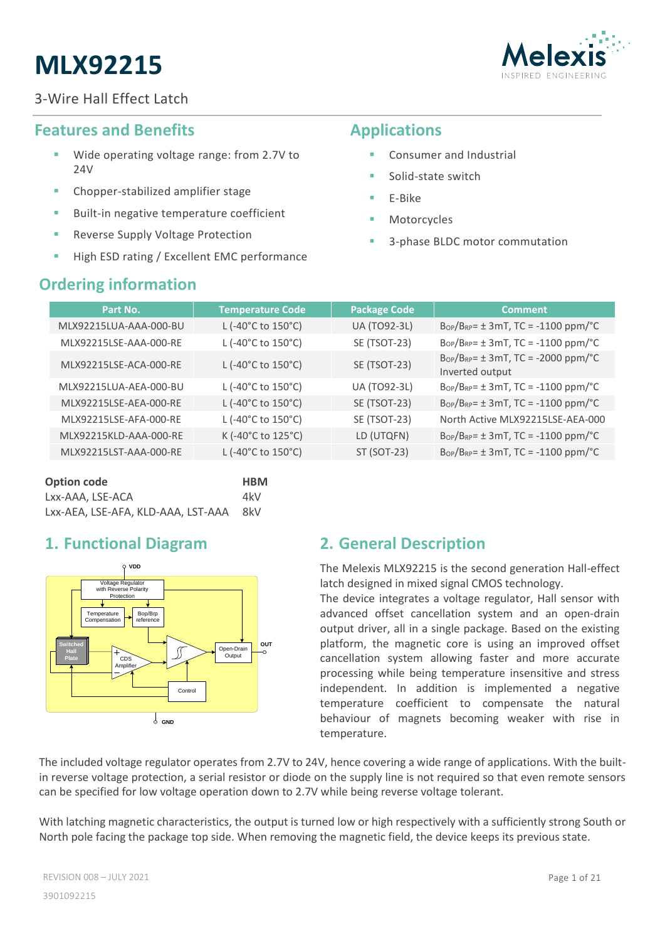



# <span id="page-0-0"></span>**Features and Benefits**

- Wide operating voltage range: from 2.7V to 24V
- Chopper-stabilized amplifier stage
- Built-in negative temperature coefficient
- Reverse Supply Voltage Protection
- High ESD rating / Excellent EMC performance

# <span id="page-0-2"></span>**Ordering information**

# <span id="page-0-1"></span>**Applications**

- Consumer and Industrial
- Solid-state switch
- E-Bike
- **Motorcycles**
- 3-phase BLDC motor commutation

| Part No.               | <b>Temperature Code</b>                  | <b>Package Code</b> | <b>Comment</b>                                                   |
|------------------------|------------------------------------------|---------------------|------------------------------------------------------------------|
| MLX92215LUA-AAA-000-BU | L (-40°C to 150°C)                       | <b>UA (TO92-3L)</b> | $B_{OP}/B_{RP} = \pm 3mT$ , TC = -1100 ppm/°C                    |
| MLX92215LSE-AAA-000-RE | L (-40°C to 150°C)                       | SE (TSOT-23)        | $B_{OP}/B_{RP} = \pm 3mT$ , TC = -1100 ppm/°C                    |
| MLX92215LSE-ACA-000-RE | L (-40 $^{\circ}$ C to 150 $^{\circ}$ C) | SE (TSOT-23)        | $B_{OP}/B_{RP} = \pm 3mT$ , TC = -2000 ppm/°C<br>Inverted output |
| MLX92215LUA-AEA-000-BU | L (-40°C to 150°C)                       | <b>UA (TO92-3L)</b> | $B_{OP}/B_{RP} = \pm 3mT$ , TC = -1100 ppm/°C                    |
| MLX92215LSE-AEA-000-RE | L (-40°C to 150°C)                       | SE (TSOT-23)        | $B_{OP}/B_{RP} = \pm 3mT$ , TC = -1100 ppm/°C                    |
| MLX92215LSE-AFA-000-RE | L (-40°C to 150°C)                       | SE (TSOT-23)        | North Active MLX92215LSE-AEA-000                                 |
| MLX92215KLD-AAA-000-RE | K (-40°C to 125°C)                       | LD (UTQFN)          | $B_{OP}/B_{RP} = \pm 3mT$ , TC = -1100 ppm/°C                    |
| MLX92215LST-AAA-000-RE | L (-40°C to 150°C)                       | ST (SOT-23)         | $B_{OP}/B_{RP} = \pm 3mT$ , TC = -1100 ppm/°C                    |

| Option code                        | <b>HBM</b> |
|------------------------------------|------------|
| Lxx-AAA. LSE-ACA                   | 4kV        |
| Lxx-AEA, LSE-AFA, KLD-AAA, LST-AAA | 8kV        |

# <span id="page-0-3"></span>**1. Functional Diagram**



# <span id="page-0-4"></span>**2. General Description**

The Melexis MLX92215 is the second generation Hall-effect latch designed in mixed signal CMOS technology.

The device integrates a voltage regulator, Hall sensor with advanced offset cancellation system and an open-drain output driver, all in a single package. Based on the existing platform, the magnetic core is using an improved offset cancellation system allowing faster and more accurate processing while being temperature insensitive and stress independent. In addition is implemented a negative temperature coefficient to compensate the natural behaviour of magnets becoming weaker with rise in temperature.

The included voltage regulator operates from 2.7V to 24V, hence covering a wide range of applications. With the builtin reverse voltage protection, a serial resistor or diode on the supply line is not required so that even remote sensors can be specified for low voltage operation down to 2.7V while being reverse voltage tolerant.

With latching magnetic characteristics, the output is turned low or high respectively with a sufficiently strong South or North pole facing the package top side. When removing the magnetic field, the device keeps its previous state.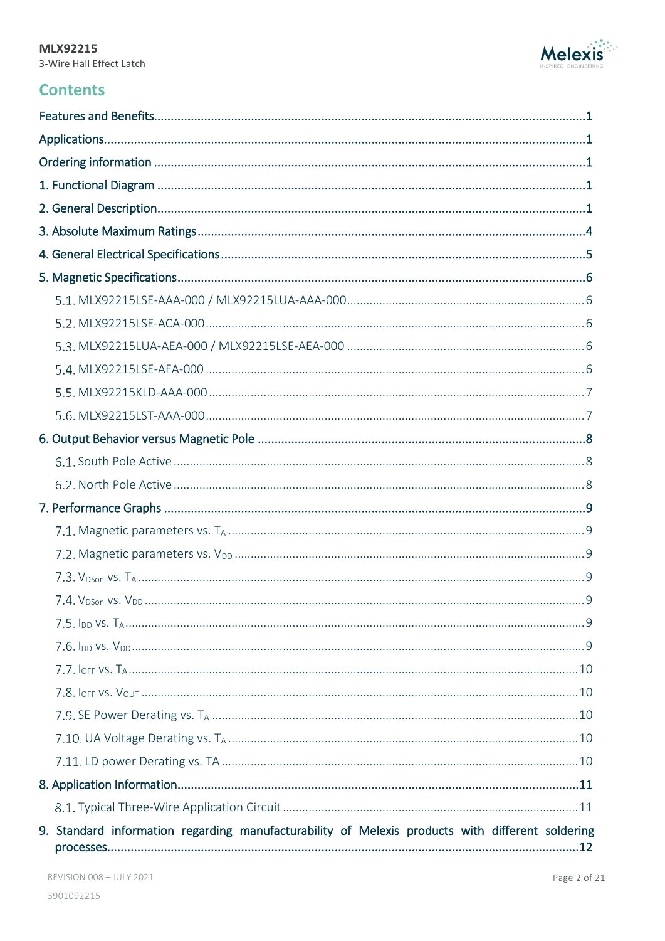

# **Contents**

| 9. Standard information regarding manufacturability of Melexis products with different soldering |
|--------------------------------------------------------------------------------------------------|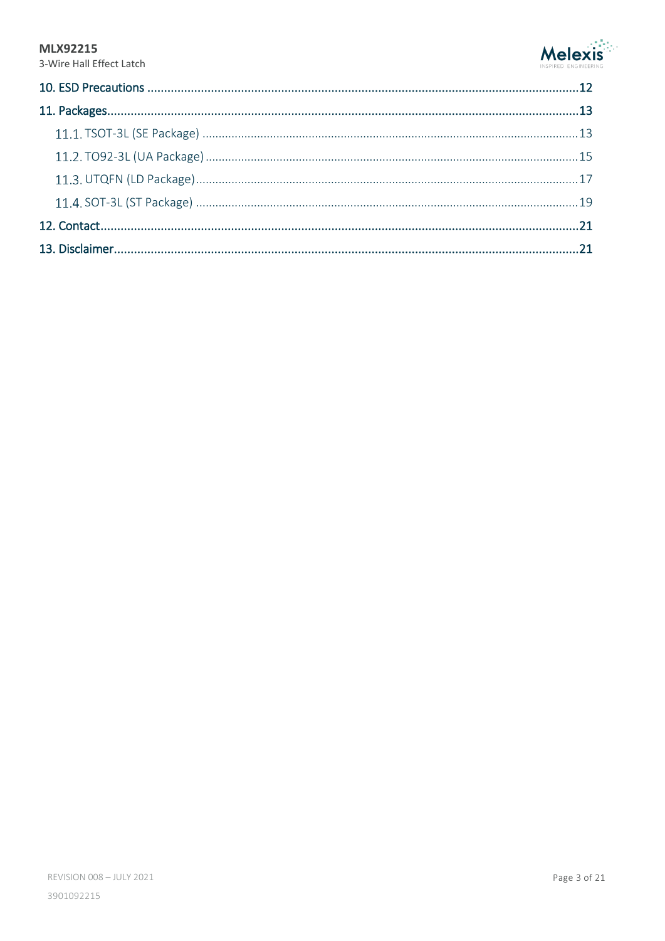

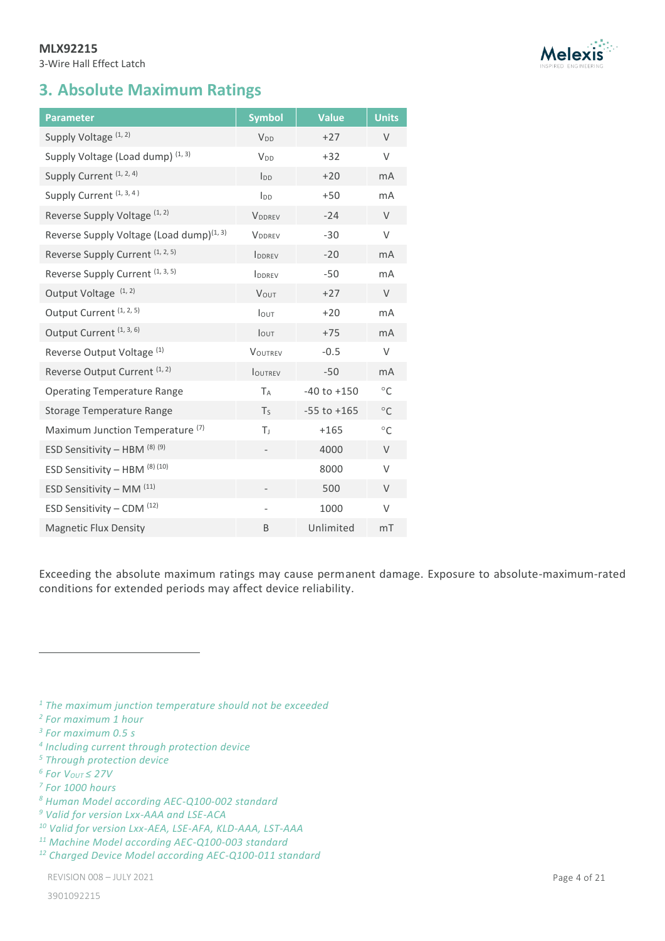3-Wire Hall Effect Latch

# <span id="page-3-0"></span>**3. Absolute Maximum Ratings**

<span id="page-3-4"></span><span id="page-3-3"></span><span id="page-3-2"></span><span id="page-3-1"></span>

| <b>Parameter</b>                                     | <b>Symbol</b>          | <b>Value</b>    | <b>Units</b>   |
|------------------------------------------------------|------------------------|-----------------|----------------|
| Supply Voltage (1, 2)                                | <b>V<sub>DD</sub></b>  | $+27$           | $\vee$         |
| Supply Voltage (Load dump) (1, 3)                    | <b>V</b> <sub>DD</sub> | $+32$           | V              |
| Supply Current (1, 2, 4)                             | $I_{DD}$               | $+20$           | m <sub>A</sub> |
| Supply Current <sup>(1, 3, 4)</sup>                  | I <sub>DD</sub>        | $+50$           | mA             |
| Reverse Supply Voltage (1, 2)                        | VDDREV                 | $-24$           | $\vee$         |
| Reverse Supply Voltage (Load dump) <sup>(1, 3)</sup> | <b>VDDREV</b>          | $-30$           | V              |
| Reverse Supply Current <sup>(1, 2, 5)</sup>          | <b>IDDREV</b>          | $-20$           | mA             |
| Reverse Supply Current (1, 3, 5)                     | IDDREV                 | $-50$           | mA             |
| Output Voltage <sup>(1,2)</sup>                      | VOUT                   | $+27$           | $\vee$         |
| Output Current <sup>(1, 2, 5)</sup>                  | <b>lout</b>            | $+20$           | mA             |
| Output Current <sup>(1, 3, 6)</sup>                  | <b>l</b> out           | $+75$           | mA             |
| Reverse Output Voltage <sup>(1)</sup>                | VOUTREV                | $-0.5$          | V              |
| Reverse Output Current <sup>(1,2)</sup>              | <b>IOUTREV</b>         | $-50$           | mA             |
| <b>Operating Temperature Range</b>                   | TA                     | $-40$ to $+150$ | $\circ$ C      |
| <b>Storage Temperature Range</b>                     | T <sub>S</sub>         | $-55$ to $+165$ | $\circ$ C      |
| Maximum Junction Temperature <sup>(7)</sup>          | Tı                     | $+165$          | $^{\circ}$ C   |
| ESD Sensitivity - HBM (8) (9)                        |                        | 4000            | $\vee$         |
| ESD Sensitivity - HBM (8) (10)                       |                        | 8000            | $\vee$         |
| ESD Sensitivity - MM $(11)$                          |                        | 500             | $\vee$         |
| ESD Sensitivity - CDM $(12)$                         |                        | 1000            | V              |
| <b>Magnetic Flux Density</b>                         | B                      | Unlimited       | mT             |

Exceeding the absolute maximum ratings may cause permanent damage. Exposure to absolute-maximum-rated conditions for extended periods may affect device reliability.



*<sup>1</sup> The maximum junction temperature should not be exceeded*

*<sup>2</sup> For maximum 1 hour*

*<sup>3</sup> For maximum 0.5 s*

*<sup>4</sup> Including current through protection device*

*<sup>5</sup> Through protection device*

*<sup>6</sup> For VOUT ≤ 27V*

*<sup>7</sup> For 1000 hours*

*<sup>8</sup> Human Model according AEC-Q100-002 standard*

*<sup>9</sup> Valid for version Lxx-AAA and LSE-ACA*

*<sup>10</sup> Valid for version Lxx-AEA, LSE-AFA, KLD-AAA, LST-AAA*

*<sup>11</sup> Machine Model according AEC-Q100-003 standard*

*<sup>12</sup> Charged Device Model according AEC-Q100-011 standard*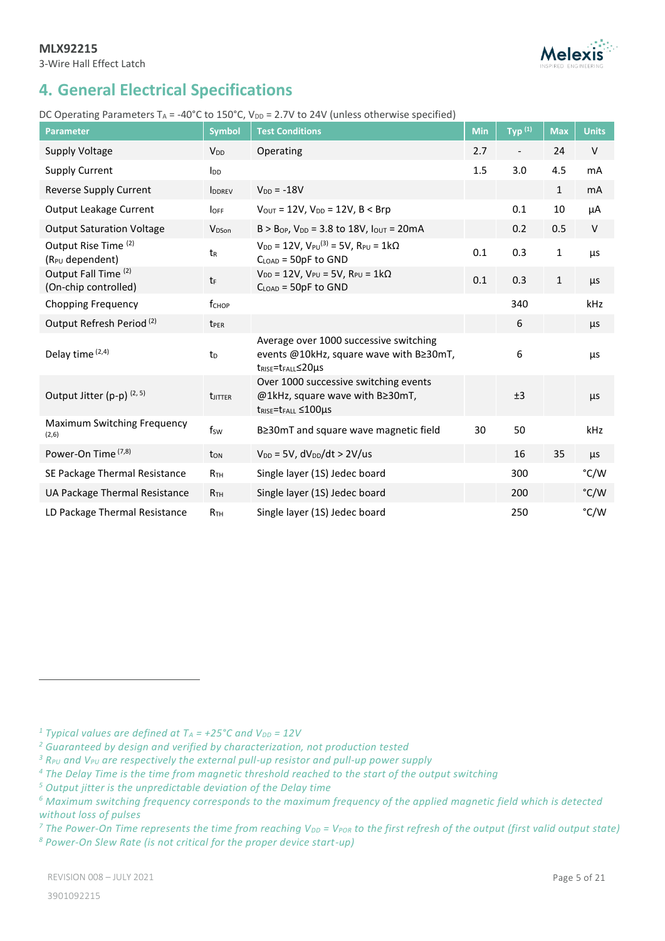

# <span id="page-4-0"></span>**4. General Electrical Specifications**

### DC Operating Parameters TA = -40°C to 150°C, V<sub>DD</sub> = 2.7V to 24V (unless otherwise specified)

| <b>Parameter</b>                                    | <b>Symbol</b>          | <b>Test Conditions</b>                                                                                                          | Min | $Typ^{(1)}$ | <b>Max</b>   | <b>Units</b> |
|-----------------------------------------------------|------------------------|---------------------------------------------------------------------------------------------------------------------------------|-----|-------------|--------------|--------------|
| <b>Supply Voltage</b>                               | <b>V</b> <sub>DD</sub> | Operating                                                                                                                       | 2.7 |             | 24           | V            |
| <b>Supply Current</b>                               | <b>I</b> <sub>DD</sub> |                                                                                                                                 | 1.5 | 3.0         | 4.5          | mA           |
| Reverse Supply Current                              | <b>IDDREV</b>          | $V_{DD} = -18V$                                                                                                                 |     |             | $\mathbf{1}$ | mA           |
| Output Leakage Current                              | <b>l</b> OFF           | $V_{OUT} = 12V$ , $V_{DD} = 12V$ , $B < Brp$                                                                                    |     | 0.1         | $10\,$       | μA           |
| <b>Output Saturation Voltage</b>                    | V <sub>DSon</sub>      | $B > B_{OP}$ , $V_{DD} = 3.8$ to 18V, $I_{OUT} = 20mA$                                                                          |     | 0.2         | 0.5          | V            |
| Output Rise Time (2)<br>(R <sub>PU</sub> dependent) | t <sub>R</sub>         | $V_{DD} = 12V$ , $V_{PU}^{(3)} = 5V$ , $R_{PU} = 1k\Omega$<br>$C_{LOAD} = 50pF$ to GND                                          | 0.1 | 0.3         | $\mathbf 1$  | μs           |
| Output Fall Time (2)<br>(On-chip controlled)        | tF                     | $V_{DD} = 12V$ , $V_{PU} = 5V$ , $R_{PU} = 1k\Omega$<br>$CLOAD$ = 50pF to GND                                                   | 0.1 | 0.3         | $\mathbf{1}$ | μs           |
| <b>Chopping Frequency</b>                           | f <sub>CHOP</sub>      |                                                                                                                                 |     | 340         |              | kHz          |
| Output Refresh Period <sup>(2)</sup>                | t <sub>PER</sub>       |                                                                                                                                 |     | 6           |              | μs           |
| Delay time (2,4)                                    | t <sub>D</sub>         | Average over 1000 successive switching<br>events @10kHz, square wave with B≥30mT,<br>t <sub>RISE</sub> =t <sub>FALL</sub> ≤20µs |     | 6           |              | μs           |
| Output Jitter (p-p) (2, 5)                          | <b>t</b> JITTER        | Over 1000 successive switching events<br>@1kHz, square wave with B≥30mT,<br>$t_{RISE} = t_{FALL} \leq 100 \mu s$                |     | ±3          |              | $\mu$ s      |
| Maximum Switching Frequency<br>(2,6)                | fsw                    | B≥30mT and square wave magnetic field                                                                                           | 30  | 50          |              | kHz          |
| Power-On Time (7,8)                                 | ton                    | $V_{DD}$ = 5V, $dV_{DD}/dt > 2V/us$                                                                                             |     | 16          | 35           | μs           |
| SE Package Thermal Resistance                       | R <sub>TH</sub>        | Single layer (1S) Jedec board                                                                                                   |     | 300         |              | °C/W         |
| UA Package Thermal Resistance                       | R <sub>TH</sub>        | Single layer (1S) Jedec board                                                                                                   |     | 200         |              | °C/W         |
| LD Package Thermal Resistance                       | R <sub>TH</sub>        | Single layer (1S) Jedec board                                                                                                   |     | 250         |              | °C/W         |

<sup>1</sup> *Typical values are defined at*  $T_A$  =  $+25^{\circ}$ C and  $V_{DD}$  = 12V

*<sup>2</sup> Guaranteed by design and verified by characterization, not production tested*

*<sup>3</sup> RPU and VPU are respectively the external pull-up resistor and pull-up power supply*

*<sup>4</sup> The Delay Time is the time from magnetic threshold reached to the start of the output switching*

*<sup>5</sup> Output jitter is the unpredictable deviation of the Delay time*

*<sup>6</sup> Maximum switching frequency corresponds to the maximum frequency of the applied magnetic field which is detected without loss of pulses*

<sup>7</sup> The Power-On Time represents the time from reaching V<sub>DD</sub> = V<sub>POR</sub> to the first refresh of the output (first valid output state) *<sup>8</sup> Power-On Slew Rate (is not critical for the proper device start-up)*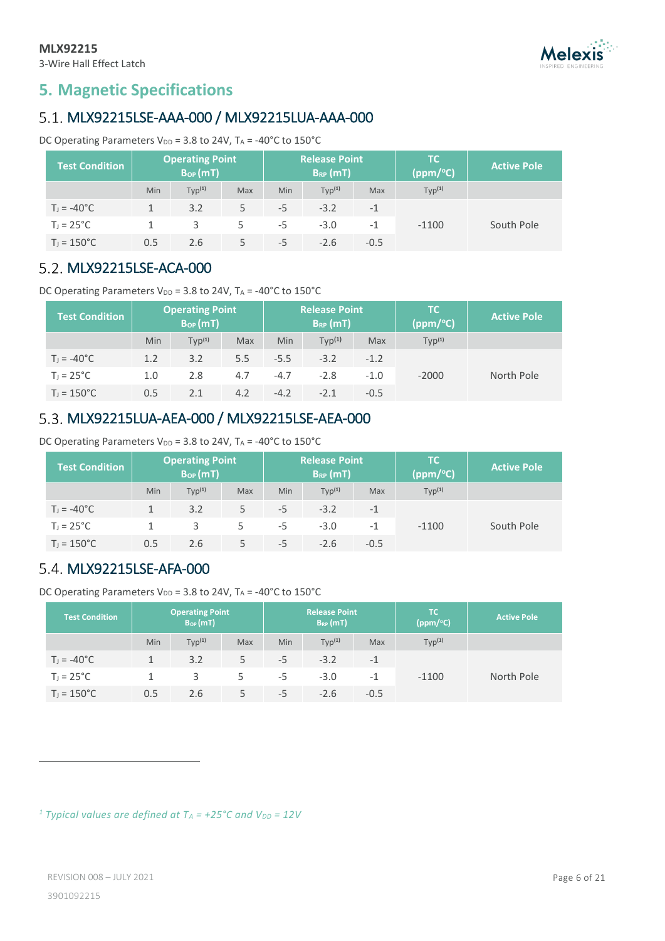

# <span id="page-5-0"></span>**5. Magnetic Specifications**

# <span id="page-5-1"></span>MLX92215LSE-AAA-000 / MLX92215LUA-AAA-000

DC Operating Parameters  $V_{DD}$  = 3.8 to 24V, TA = -40°C to 150°C

| <b>Test Condition</b> |     | <b>Operating Point</b><br>B <sub>op</sub> (mT) |     |     | <b>Release Point</b><br>$B_{RP}(mT)$ |        | <b>TC</b><br>(ppm/°C) | <b>Active Pole</b> |
|-----------------------|-----|------------------------------------------------|-----|-----|--------------------------------------|--------|-----------------------|--------------------|
|                       | Min | Typ <sup>(1)</sup>                             | Max | Min | Typ <sup>(1)</sup>                   | Max    | Typ <sup>(1)</sup>    |                    |
| $T_1 = -40^{\circ}C$  |     | 3.2                                            | 5   | -5  | $-3.2$                               | $-1$   |                       |                    |
| $T_1 = 25^{\circ}C$   |     | 3                                              | 5   | -5  | $-3.0$                               | $-1$   | $-1100$               | South Pole         |
| $T_1 = 150^{\circ}C$  | 0.5 | 2.6                                            |     | -5  | $-2.6$                               | $-0.5$ |                       |                    |

# <span id="page-5-2"></span>5.2. MLX92215LSE-ACA-000

DC Operating Parameters  $V_{DD}$  = 3.8 to 24V, TA = -40°C to 150°C

| <b>Test Condition</b> |     | <b>Operating Point</b><br>$B_{OP}(mT)$ |     |        | <b>Release Point</b><br>$B_{RP}(mT)$ |        | TC.<br>(ppm/°C)    | <b>Active Pole</b> |
|-----------------------|-----|----------------------------------------|-----|--------|--------------------------------------|--------|--------------------|--------------------|
|                       | Min | $TVD^{(1)}$                            | Max | Min    | TVD <sup>(1)</sup>                   | Max    | Typ <sup>(1)</sup> |                    |
| $T_1 = -40^{\circ}C$  | 1.2 | 3.2                                    | 5.5 | $-5.5$ | $-3.2$                               | $-1.2$ |                    |                    |
| $T_1 = 25^{\circ}C$   | 1.0 | 2.8                                    | 4.7 | $-4.7$ | $-2.8$                               | $-1.0$ | $-2000$            | North Pole         |
| $T_1 = 150^{\circ}C$  | 0.5 | 2.1                                    | 4.2 | $-4.2$ | $-2.1$                               | $-0.5$ |                    |                    |

# <span id="page-5-3"></span>MLX92215LUA-AEA-000 / MLX92215LSE-AEA-000

DC Operating Parameters  $V_{DD}$  = 3.8 to 24V, T<sub>A</sub> = -40°C to 150°C

| <b>Test Condition</b> |            | <b>Operating Point</b><br>$B_{OP}(mT)$ |     | <b>Release Point</b><br>$B_{RP}(mT)$ |                    |        | TC.<br>(ppm/°C)    | <b>Active Pole</b> |
|-----------------------|------------|----------------------------------------|-----|--------------------------------------|--------------------|--------|--------------------|--------------------|
|                       | <b>Min</b> | Typ <sup>(1)</sup>                     | Max | Min                                  | Typ <sup>(1)</sup> | Max    | Typ <sup>(1)</sup> |                    |
| $T_1 = -40^{\circ}C$  |            | 3.2                                    | 5   | -5                                   | $-3.2$             | $-1$   |                    |                    |
| $T_1 = 25^{\circ}C$   |            | 3                                      | 5   | -5                                   | $-3.0$             | $-1$   | $-1100$            | South Pole         |
| $T_1 = 150^{\circ}C$  | 0.5        | 2.6                                    | 5   | -5                                   | $-2.6$             | $-0.5$ |                    |                    |

# <span id="page-5-4"></span>5.4. MLX92215LSE-AFA-000

DC Operating Parameters  $V_{DD}$  = 3.8 to 24V, T<sub>A</sub> = -40°C to 150°C

| <b>Test Condition</b> |     | <b>Operating Point</b><br>$B_{OP}(mT)$ |     | <b>Release Point</b><br>$B_{RP}(mT)$ |                    |            | TC.<br>(ppm/°C)    | <b>Active Pole</b> |
|-----------------------|-----|----------------------------------------|-----|--------------------------------------|--------------------|------------|--------------------|--------------------|
|                       | Min | Typ <sup>(1)</sup>                     | Max | Min                                  | Typ <sup>(1)</sup> | <b>Max</b> | Typ <sup>(1)</sup> |                    |
| $T_1 = -40^{\circ}C$  |     | 3.2                                    | 5   | -5                                   | $-3.2$             | $-1$       |                    |                    |
| $T_J = 25^{\circ}C$   |     | 3                                      | 5   | -5                                   | $-3.0$             | $-1$       | $-1100$            | North Pole         |
| $T_1 = 150^{\circ}C$  | 0.5 | 2.6                                    | 5   | -5                                   | $-2.6$             | $-0.5$     |                    |                    |

<sup>1</sup> *Typical values are defined at*  $T_A$  =  $+25^{\circ}$ C and  $V_{DD}$  = 12V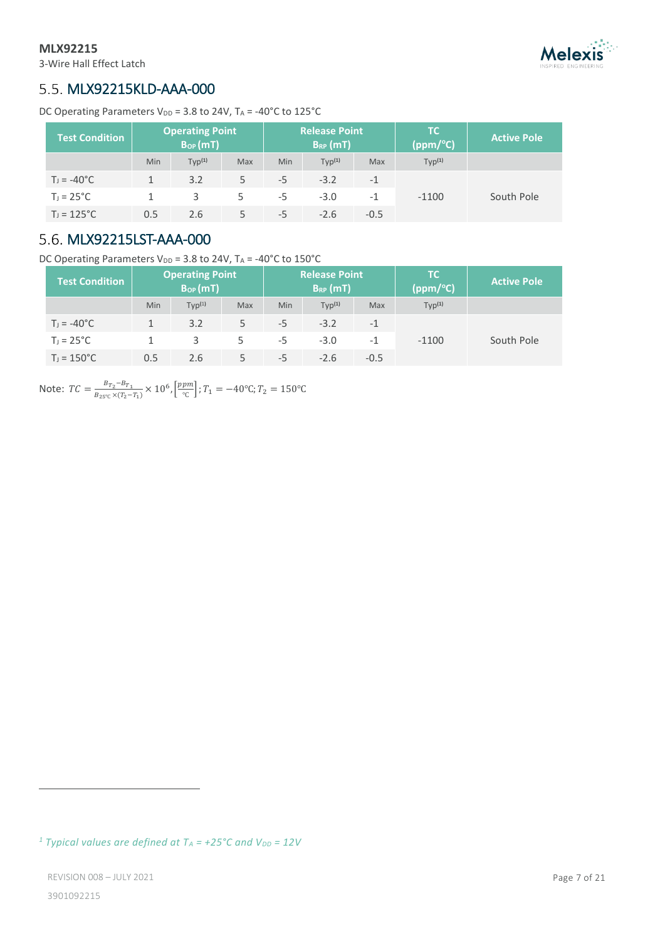3-Wire Hall Effect Latch

# **Melexis**

# <span id="page-6-0"></span>5.5. MLX92215KLD-AAA-000

DC Operating Parameters V<sub>DD</sub> = 3.8 to 24V,  $T_A$  = -40°C to 125°C

| <b>Test Condition</b> |     | <b>Operating Point</b><br>$B_{OP}(mT)$ |     |     | <b>Release Point</b><br>$B_{RP}(mT)$ |        | TC.<br>(ppm/°C)    | <b>Active Pole</b> |
|-----------------------|-----|----------------------------------------|-----|-----|--------------------------------------|--------|--------------------|--------------------|
|                       | Min | Typ <sup>(1)</sup>                     | Max | Min | Typ <sup>(1)</sup>                   | Max    | Typ <sup>(1)</sup> |                    |
| $T_1 = -40^{\circ}C$  |     | 3.2                                    | 5   | -5  | $-3.2$                               | $-1$   |                    |                    |
| $T_1 = 25^{\circ}C$   |     | 3                                      | 5   | -5  | $-3.0$                               | $-1$   | $-1100$            | South Pole         |
| $T_1 = 125^{\circ}C$  | 0.5 | 2.6                                    | 5   | -5  | $-2.6$                               | $-0.5$ |                    |                    |

# <span id="page-6-1"></span>5.6. MLX92215LST-AAA-000

DC Operating Parameters  $V_{DD}$  = 3.8 to 24V, TA = -40°C to 150°C

| <b>Test Condition</b> |     | <b>Operating Point</b><br>$B_{OP}(mT)$ |     |      | <b>Release Point</b><br>$B_{RP}$ (mT) |            | TC.<br>(ppm/°C)    | <b>Active Pole</b> |
|-----------------------|-----|----------------------------------------|-----|------|---------------------------------------|------------|--------------------|--------------------|
|                       | Min | Typ <sup>(1)</sup>                     | Max | Min  | Typ <sup>(1)</sup>                    | <b>Max</b> | Typ <sup>(1)</sup> |                    |
| $T_1 = -40^{\circ}C$  |     | 3.2                                    | 5   | -5   | $-3.2$                                | $-1$       |                    |                    |
| $T_1 = 25^{\circ}C$   |     | 3                                      | 5   | -5   | $-3.0$                                | $-1$       | $-1100$            | South Pole         |
| $T_1 = 150^{\circ}C$  | 0.5 | 2.6                                    |     | $-5$ | $-2.6$                                | $-0.5$     |                    |                    |

Note:  $TC = \frac{B_{T_2} - B_{T_1}}{B_{T_2} - \frac{1}{2} \sqrt{T}}$  $rac{B_{T_2}-B_{T_1}}{B_{25°C} \times (T_2-T_1)} \times 10^6$ ,  $\left[\frac{ppm}{°C}\right]$  $\left[\frac{pm}{\infty}\right]$ ;  $T_1 = -40^{\circ}$ C;  $T_2 = 150^{\circ}$ C

*<sup>1</sup> Typical values are defined at T<sup>A</sup> = +25°C and VDD = 12V*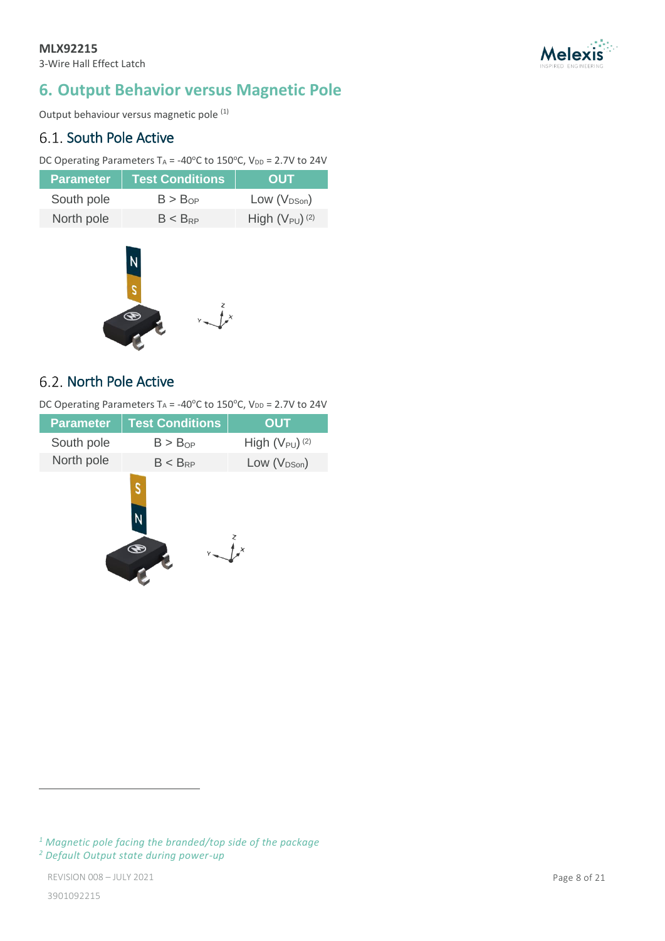

# <span id="page-7-0"></span>**6. Output Behavior versus Magnetic Pole**

Output behaviour versus magnetic pole (1)

# <span id="page-7-1"></span>6.1. South Pole Active

DC Operating Parameters TA = -40 $^{\circ}$ C to 150 $^{\circ}$ C, V<sub>DD</sub> = 2.7V to 24V

| <b>Parameter</b> | <b>Test Conditions</b> | <b>OUT</b>                     |
|------------------|------------------------|--------------------------------|
| South pole       | B > B <sub>OP</sub>    | Low $(V_{DSon})$               |
| North pole       | $B < B_{RP}$           | High $(V_{PU})$ <sup>(2)</sup> |



# <span id="page-7-2"></span>6.2. North Pole Active

DC Operating Parameters TA = -40 $^{\circ}$ C to 150 $^{\circ}$ C, V<sub>DD</sub> = 2.7V to 24V

| <b>Parameter</b> | <b>Test Conditions</b> | <b>OUT</b>                     |
|------------------|------------------------|--------------------------------|
| South pole       | $B > B_{OP}$           | High $(V_{PU})$ <sup>(2)</sup> |
| North pole       | $B < B_{RP}$           | Low $(V_{DSon})$               |
|                  | S                      |                                |

*<sup>1</sup> Magnetic pole facing the branded/top side of the package <sup>2</sup> Default Output state during power-up*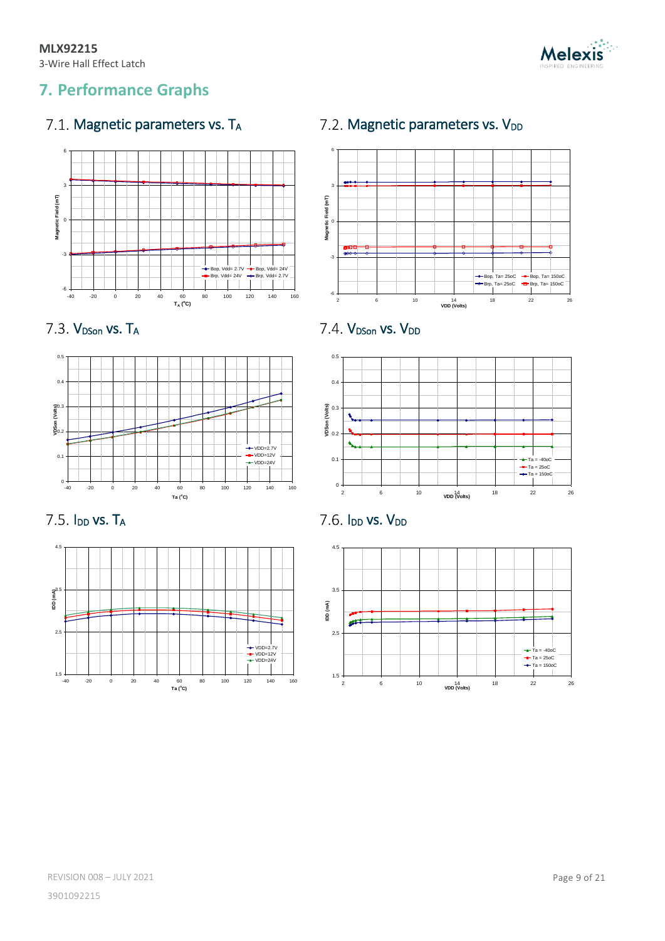

# <span id="page-8-0"></span>**7. Performance Graphs**

# <span id="page-8-1"></span>7.1. Magnetic parameters vs.  $T_A$  7.2. Magnetic parameters vs.  $V_{DD}$



<span id="page-8-2"></span>

# <span id="page-8-3"></span>7.3.  $V_{DSon}$  vs.  $T_A$   $7.4.$   $V_{DSon}$  vs.  $V_{DD}$





1.5 2.5 IDD (mA) 4.5 -40 -20 0 20 40 60 80 100 120 140 160 **Ta** (**C**)<br> **E** (**C**)<br> **E** (**C**)<br> **E** (**C**)<br> **E** (**C**)<br> **E** (**C**)<br> **E** (**C**)<br> **E** (**C**)<br> **E** (**C**) VDD=2.7V VDD=12V VDD=24V

<span id="page-8-4"></span>

<span id="page-8-5"></span>

<span id="page-8-6"></span>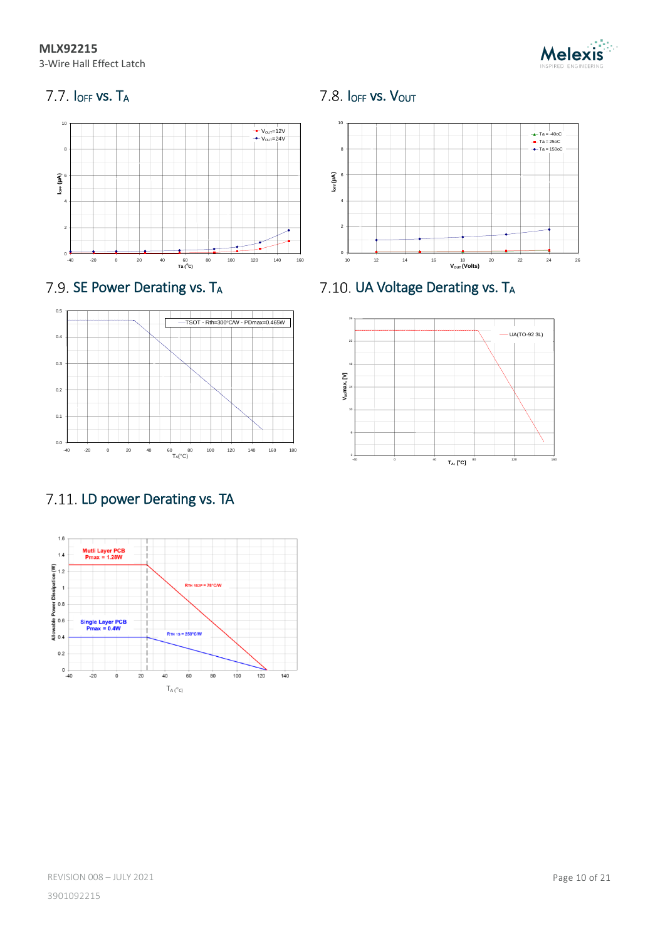**MLX92215** 3-Wire Hall Effect Latch



<span id="page-9-0"></span>







# <span id="page-9-4"></span>7.11. LD power Derating vs. TA



<span id="page-9-1"></span>

<span id="page-9-2"></span>7.9. SE Power Derating vs. T<sub>A</sub> 7.10. UA Voltage Derating vs. T<sub>A</sub>

<span id="page-9-3"></span>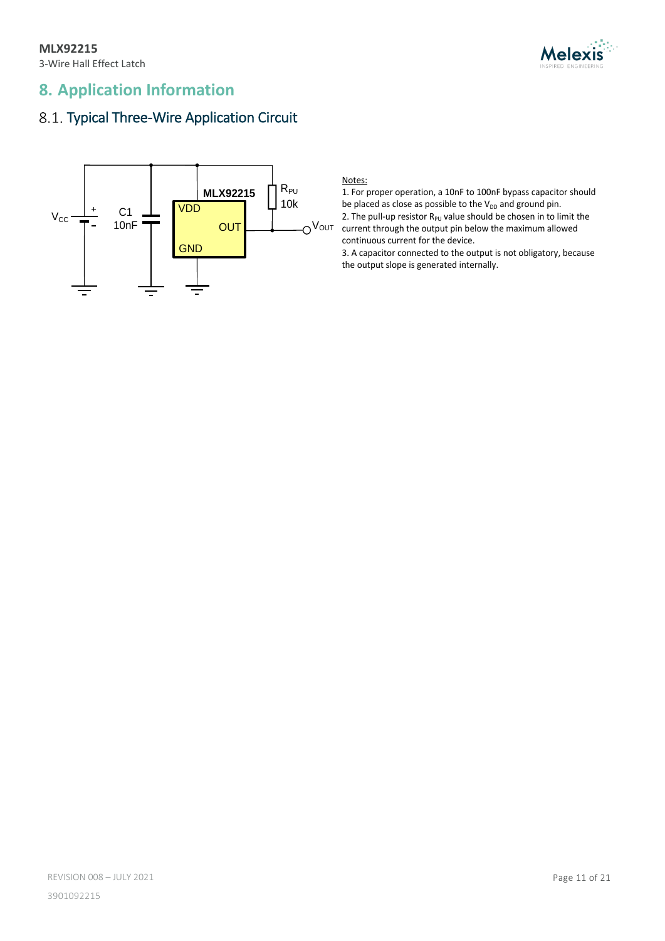

# <span id="page-10-0"></span>**8. Application Information**

# <span id="page-10-1"></span>8.1. Typical Three-Wire Application Circuit



Notes:

1. For proper operation, a 10nF to 100nF bypass capacitor should be placed as close as possible to the  $V_{DD}$  and ground pin. 2. The pull-up resistor  $R_{PU}$  value should be chosen in to limit the current through the output pin below the maximum allowed continuous current for the device.

3. A capacitor connected to the output is not obligatory, because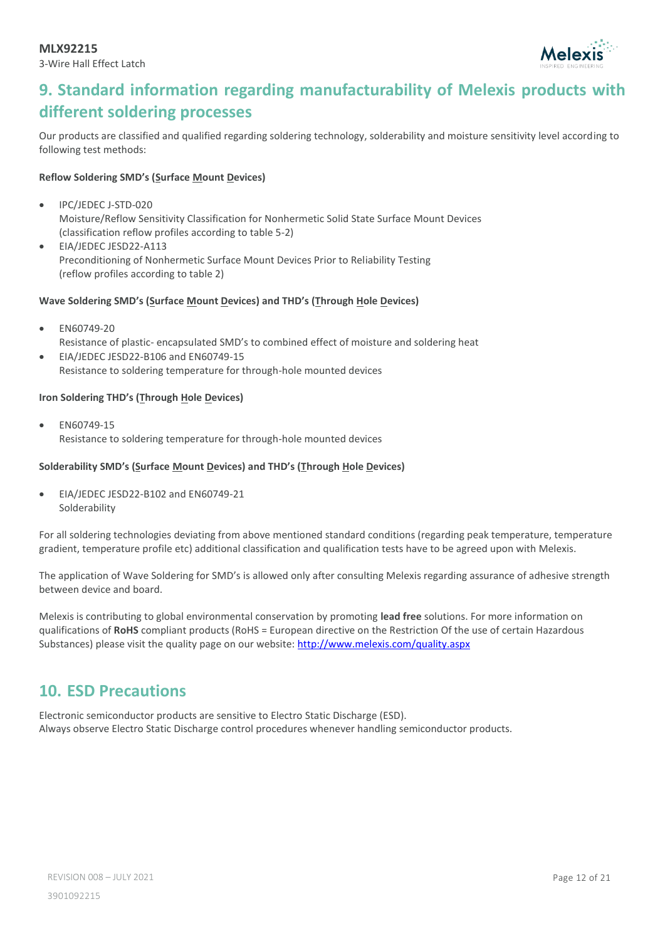

# <span id="page-11-0"></span>**9. Standard information regarding manufacturability of Melexis products with different soldering processes**

Our products are classified and qualified regarding soldering technology, solderability and moisture sensitivity level according to following test methods:

### **Reflow Soldering SMD's (Surface Mount Devices)**

- IPC/JEDEC J-STD-020 Moisture/Reflow Sensitivity Classification for Nonhermetic Solid State Surface Mount Devices (classification reflow profiles according to table 5-2)
- EIA/JEDEC JESD22-A113 Preconditioning of Nonhermetic Surface Mount Devices Prior to Reliability Testing (reflow profiles according to table 2)

### **Wave Soldering SMD's (Surface Mount Devices) and THD's (Through Hole Devices)**

- EN60749-20 Resistance of plastic- encapsulated SMD's to combined effect of moisture and soldering heat
- EIA/JEDEC JESD22-B106 and EN60749-15 Resistance to soldering temperature for through-hole mounted devices

### **Iron Soldering THD's (Through Hole Devices)**

• EN60749-15 Resistance to soldering temperature for through-hole mounted devices

### **Solderability SMD's (Surface Mount Devices) and THD's (Through Hole Devices)**

• EIA/JEDEC JESD22-B102 and EN60749-21 Solderability

For all soldering technologies deviating from above mentioned standard conditions (regarding peak temperature, temperature gradient, temperature profile etc) additional classification and qualification tests have to be agreed upon with Melexis.

The application of Wave Soldering for SMD's is allowed only after consulting Melexis regarding assurance of adhesive strength between device and board.

Melexis is contributing to global environmental conservation by promoting **lead free** solutions. For more information on qualifications of **RoHS** compliant products (RoHS = European directive on the Restriction Of the use of certain Hazardous Substances) please visit the quality page on our website[: http://www.melexis.com/quality.aspx](http://www.melexis.com/quality.aspx)

# <span id="page-11-1"></span>**10. ESD Precautions**

Electronic semiconductor products are sensitive to Electro Static Discharge (ESD). Always observe Electro Static Discharge control procedures whenever handling semiconductor products.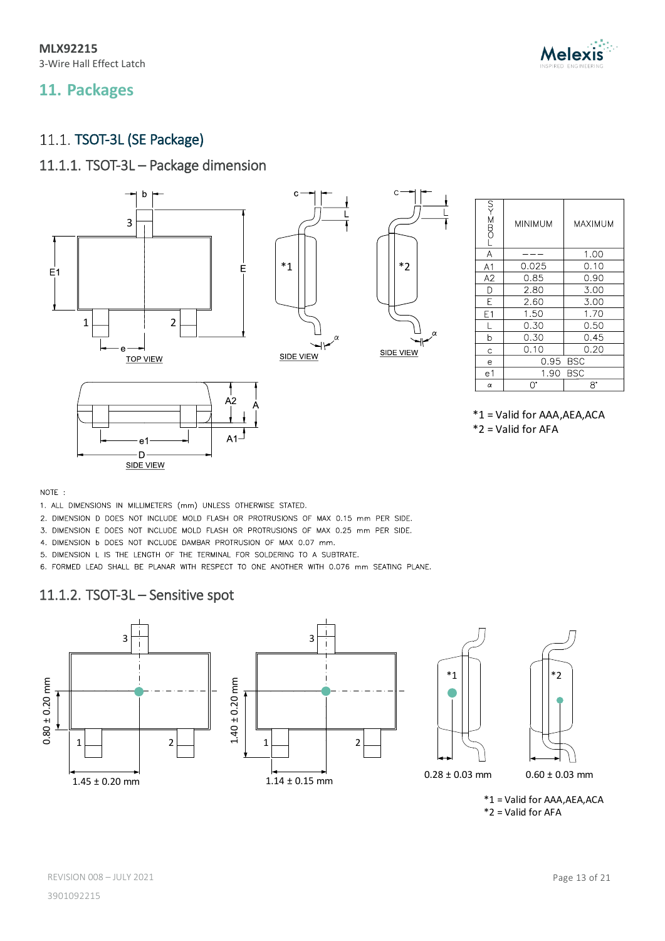**MLX92215** 3-Wire Hall Effect Latch

# <span id="page-12-0"></span>**11. Packages**

# <span id="page-12-1"></span>11.1. TSOT-3L (SE Package)

# 11.1.1. TSOT-3L – Package dimension



| <b>LOMS-KN</b> | MINIMUM     | MAXIMUM |
|----------------|-------------|---------|
| A              |             | 1.00    |
| A1             | 0.025       | 0.10    |
| A2             | 0.85        | 0.90    |
| D              | 2.80        | 3.00    |
| E              | 2.60        | 3.00    |
| E1             | 1.50        | 1.70    |
| $\mathsf{L}$   | 0.30        | 0.50    |
| b              | 0.30        | 0.45    |
| Ċ              | 0.10        | 0.20    |
| e              | 0.95 BSC    |         |
| e 1            | BSC<br>1.90 |         |
| α              | U.          | 8°      |

NOTE:

- 1. ALL DIMENSIONS IN MILLIMETERS (mm) UNLESS OTHERWISE STATED.
- 2. DIMENSION D DOES NOT INCLUDE MOLD FLASH OR PROTRUSIONS OF MAX 0.15 mm PER SIDE.
- 3. DIMENSION E DOES NOT INCLUDE MOLD FLASH OR PROTRUSIONS OF MAX 0.25 mm PER SIDE.
- 4. DIMENSION b DOES NOT INCLUDE DAMBAR PROTRUSION OF MAX 0.07 mm.
- 5. DIMENSION L IS THE LENGTH OF THE TERMINAL FOR SOLDERING TO A SUBTRATE.

6. FORMED LEAD SHALL BE PLANAR WITH RESPECT TO ONE ANOTHER WITH 0.076 mm SEATING PLANE.

# 11.1.2. TSOT-3L – Sensitive spot

SIDE VIEW







 $0.60 \pm 0.03$  mm

\*1 = Valid for AAA,AEA,ACA \*2 = Valid for AFA

**Melexis**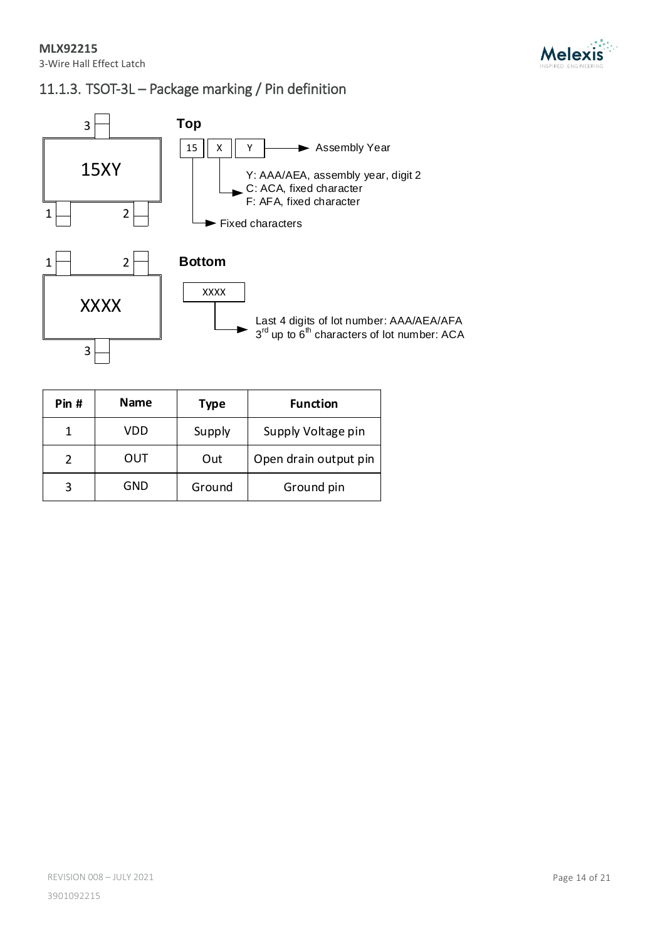

# 11.1.3. TSOT-3L – Package marking / Pin definition



| Pin # | Name | <b>Type</b> | <b>Function</b>       |
|-------|------|-------------|-----------------------|
|       | VDD  | Supply      | Supply Voltage pin    |
| 2     | OUT  | Out         | Open drain output pin |
|       | GND  | Ground      | Ground pin            |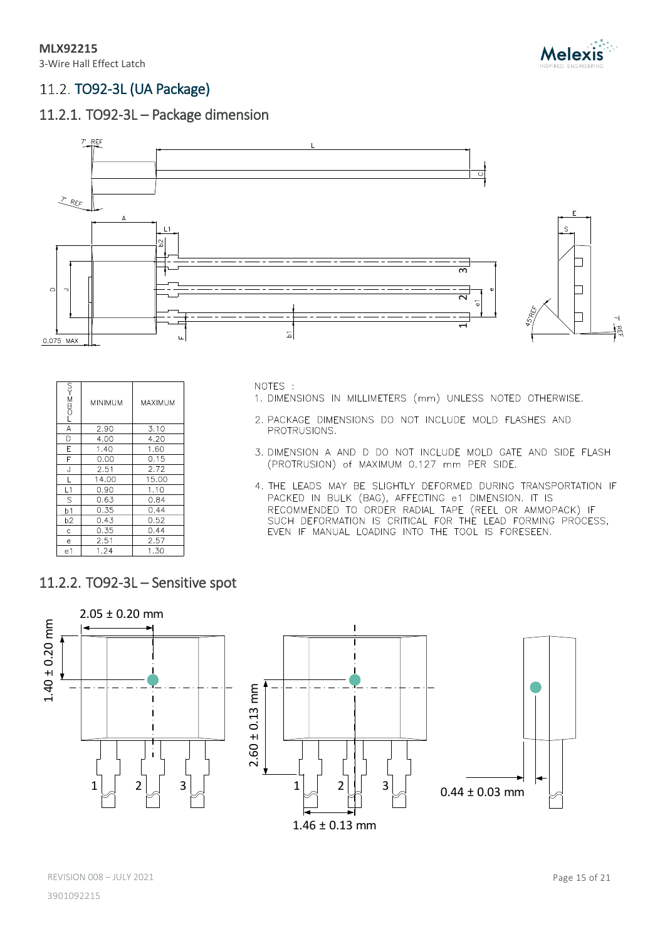

# <span id="page-14-0"></span>11.2. TO92-3L (UA Package)

# 11.2.1. TO92-3L – Package dimension



|                | <b>MINIMUM</b> | MAXIMUM |
|----------------|----------------|---------|
| A              | 2.90           | 3.10    |
| D              | 4.00           | 4.20    |
| E              | 1.40           | 1.60    |
| F              | 0.00           | 0.15    |
| J              | 2.51           | 2.72    |
| Г              | 14.00          | 15.00   |
| L1             | 0.90           | 1.10    |
| S              | 0.63           | 0.84    |
| b <sub>1</sub> | 0.35           | 0.44    |
| b <sub>2</sub> | 0.43           | 0.52    |
| Ċ              | 0.35           | 0.44    |
| е              | 2.51           | 2.57    |
| e <sub>1</sub> | 1.24           | 1.30    |

NOTES :

- 1. DIMENSIONS IN MILLIMETERS (mm) UNLESS NOTED OTHERWISE.
- 2. PACKAGE DIMENSIONS DO NOT INCLUDE MOLD FLASHES AND PROTRUSIONS.
- 3. DIMENSION A AND D DO NOT INCLUDE MOLD GATE AND SIDE FLASH (PROTRUSION) of MAXIMUM 0.127 mm PER SIDE.
- 4. THE LEADS MAY BE SLIGHTLY DEFORMED DURING TRANSPORTATION IF PACKED IN BULK (BAG), AFFECTING e1 DIMENSION. IT IS RECOMMENDED TO ORDER RADIAL TAPE (REEL OR AMMOPACK) IF<br>SUCH DEFORMATION IS CRITICAL FOR THE LEAD FORMING PROCESS,<br>EVEN IF MANUAL LOADING INTO THE TOOL IS FORESEEN.
- 11.2.2. TO92-3L Sensitive spot



REVISION 008 - JULY 2021 **Page 15 of 21**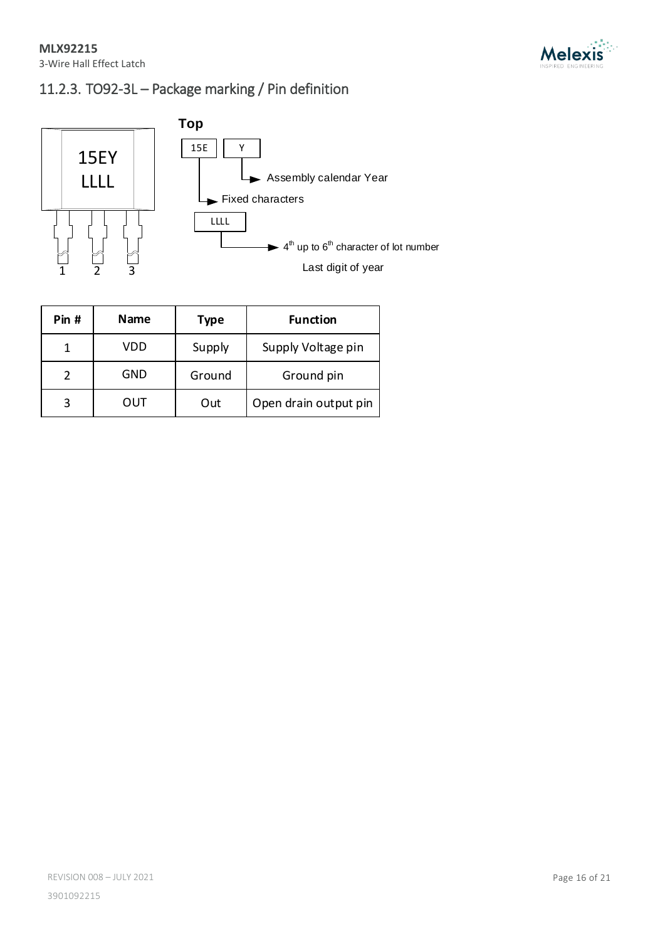

# 11.2.3. TO92-3L – Package marking / Pin definition



| Pin # | Name | Type   | <b>Function</b>       |
|-------|------|--------|-----------------------|
|       | VDD  | Supply | Supply Voltage pin    |
|       | GND  | Ground | Ground pin            |
| 3     | OUT  | Out    | Open drain output pin |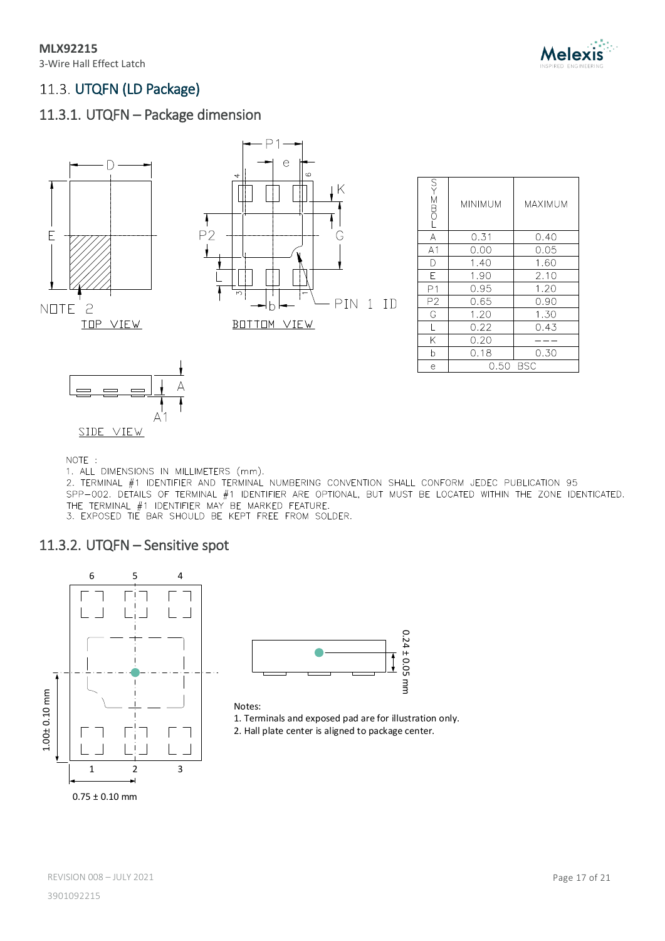

# <span id="page-16-0"></span>11.3. UTQFN (LD Package)

# 11.3.1. UTQFN – Package dimension





| $-$ Om $\geq$  | MINIMUM | MAXIMUM |
|----------------|---------|---------|
| Α              | 0.31    | 0.40    |
| A <sub>1</sub> | 0.00    | 0.05    |
| D              | 1.40    | 1.60    |
| F              | 1.90    | 2.10    |
| P <sub>1</sub> | 0.95    | 1.20    |
| P2             | 0.65    | 0.90    |
| G              | 1.20    | 1.30    |
| L              | 0.22    | 0.43    |
| Κ              | 0.20    |         |
| b              | 0.18    | 0.30    |
| е              | 0.50    | BSC     |



NOTE :

1. ALL DIMENSIONS IN MILLIMETERS (mm).

2. TERMINAL #1 IDENTIFIER AND TERMINAL NUMBERING CONVENTION SHALL CONFORM JEDEC PUBLICATION 95 SPP-002. DETAILS OF TERMINAL #1 IDENTIFIER ARE OPTIONAL, BUT MUST BE LOCATED WITHIN THE ZONE IDENTICATED. THE TERMINAL #1 IDENTIFIER MAY BE MARKED FEATURE.<br>3. EXPOSED TIE BAR SHOULD BE KEPT FREE FROM SOLDER.

## 11.3.2. UTQFN – Sensitive spot





### Notes:

1. Terminals and exposed pad are for illustration only.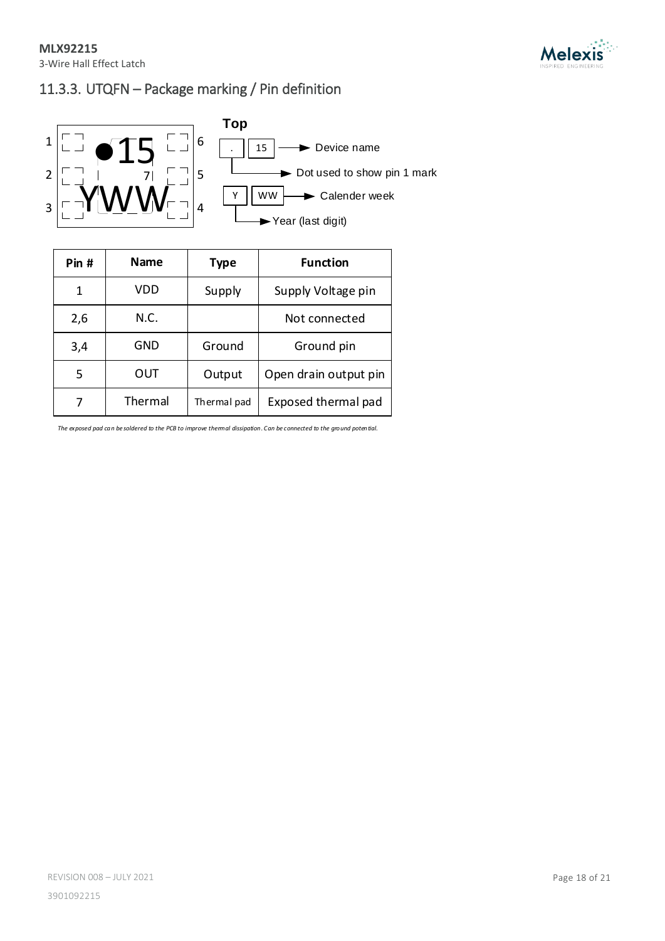

# 11.3.3. UTQFN – Package marking / Pin definition



| Pin # | <b>Name</b> | <b>Type</b> | <b>Function</b>       |
|-------|-------------|-------------|-----------------------|
| 1     | VDD         | Supply      | Supply Voltage pin    |
| 2,6   | N.C.        |             | Not connected         |
| 3,4   | GND         | Ground      | Ground pin            |
| 5     | OUT         | Output      | Open drain output pin |
| 7     | Thermal     | Thermal pad | Exposed thermal pad   |

*The exposed pad can be soldered to the PCB to improve thermal dissipation. Can be connected to the ground potential.*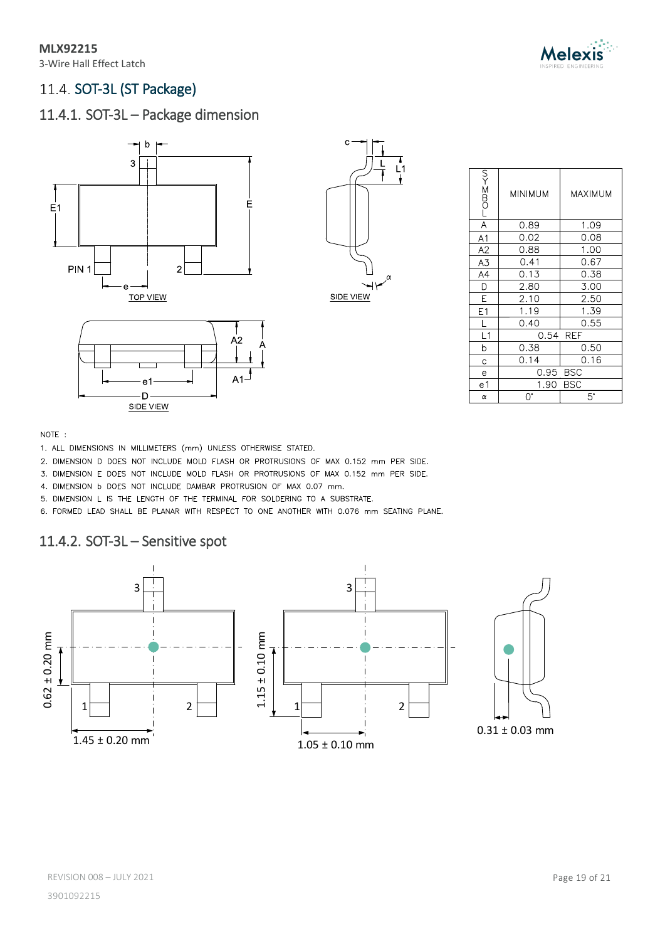3-Wire Hall Effect Latch



# <span id="page-18-0"></span>11.4. SOT-3L (ST Package)

# 11.4.1. SOT-3L – Package dimension





|  |                 |  | A2     |  |
|--|-----------------|--|--------|--|
|  |                 |  | $A1-1$ |  |
|  | е.<br>SIDE VIEW |  |        |  |

| LOMZ-KN         | MINIMUM            | MAXIMUM   |
|-----------------|--------------------|-----------|
| $\overline{A}$  | 0.89               | 1.09      |
| A1              | 0.02               | 0.08      |
| A2              | 0.88               | 1.00      |
| A3              | 0.41               | 0.67      |
| $A\overline{A}$ | 0.13               | 0.38      |
| D               | 2.80               | 3.00      |
| E               | 2.10               | 2.50      |
| E1              | 1.19               | 1.39      |
| L               | 0.40               | 0.55      |
| L1              | 0.54 REF           |           |
| b               | 0.38               | 0.50      |
| C               | 0.14               | 0.16      |
| е               | 0.95 BSC           |           |
| e1              | <b>BSC</b><br>1.90 |           |
| α               | U.                 | $5^\circ$ |

### NOTE:

- 1. ALL DIMENSIONS IN MILLIMETERS (mm) UNLESS OTHERWISE STATED.
- 2. DIMENSION D DOES NOT INCLUDE MOLD FLASH OR PROTRUSIONS OF MAX 0.152 mm PER SIDE.
- 3. DIMENSION E DOES NOT INCLUDE MOLD FLASH OR PROTRUSIONS OF MAX 0.152 mm PER SIDE.
- 4. DIMENSION b DOES NOT INCLUDE DAMBAR PROTRUSION OF MAX 0.07 mm.
- 5. DIMENSION L IS THE LENGTH OF THE TERMINAL FOR SOLDERING TO A SUBSTRATE.
- 6. FORMED LEAD SHALL BE PLANAR WITH RESPECT TO ONE ANOTHER WITH 0.076 mm SEATING PLANE.

## 11.4.2. SOT-3L – Sensitive spot

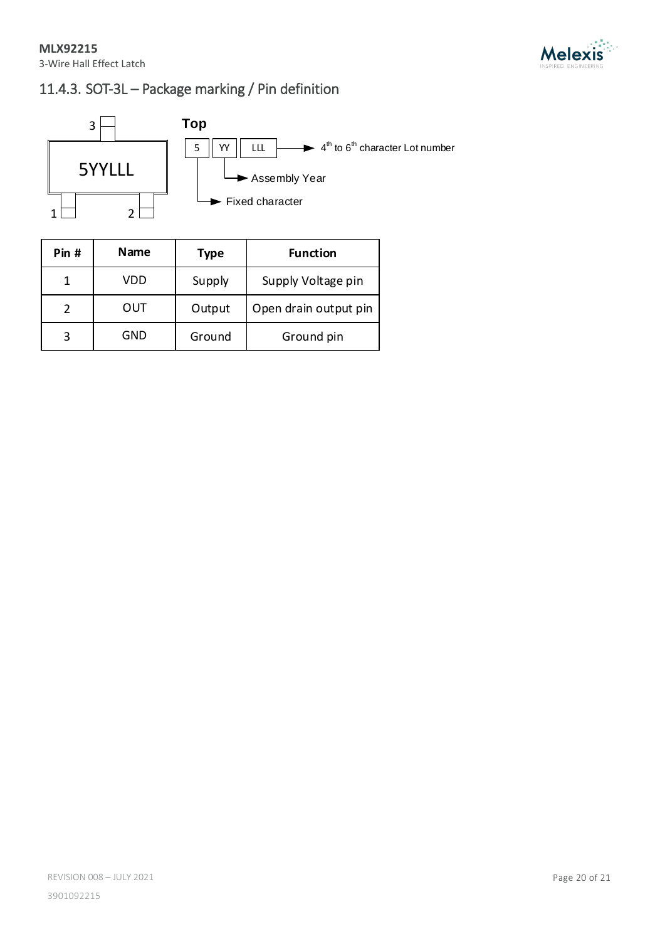



# 11.4.3. SOT-3L – Package marking / Pin definition



| Pin # | Name | <b>Type</b> | <b>Function</b>       |
|-------|------|-------------|-----------------------|
|       | VDD  | Supply      | Supply Voltage pin    |
|       | OUT  | Output      | Open drain output pin |
|       | GND  | Ground      | Ground pin            |